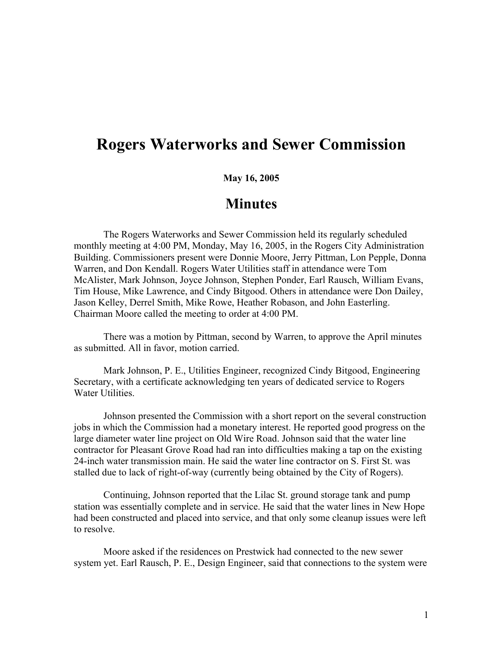## **Rogers Waterworks and Sewer Commission**

## **May 16, 2005**

## **Minutes**

The Rogers Waterworks and Sewer Commission held its regularly scheduled monthly meeting at 4:00 PM, Monday, May 16, 2005, in the Rogers City Administration Building. Commissioners present were Donnie Moore, Jerry Pittman, Lon Pepple, Donna Warren, and Don Kendall. Rogers Water Utilities staff in attendance were Tom McAlister, Mark Johnson, Joyce Johnson, Stephen Ponder, Earl Rausch, William Evans, Tim House, Mike Lawrence, and Cindy Bitgood. Others in attendance were Don Dailey, Jason Kelley, Derrel Smith, Mike Rowe, Heather Robason, and John Easterling. Chairman Moore called the meeting to order at 4:00 PM.

There was a motion by Pittman, second by Warren, to approve the April minutes as submitted. All in favor, motion carried.

Mark Johnson, P. E., Utilities Engineer, recognized Cindy Bitgood, Engineering Secretary, with a certificate acknowledging ten years of dedicated service to Rogers Water Utilities.

Johnson presented the Commission with a short report on the several construction jobs in which the Commission had a monetary interest. He reported good progress on the large diameter water line project on Old Wire Road. Johnson said that the water line contractor for Pleasant Grove Road had ran into difficulties making a tap on the existing 24-inch water transmission main. He said the water line contractor on S. First St. was stalled due to lack of right-of-way (currently being obtained by the City of Rogers).

Continuing, Johnson reported that the Lilac St. ground storage tank and pump station was essentially complete and in service. He said that the water lines in New Hope had been constructed and placed into service, and that only some cleanup issues were left to resolve.

Moore asked if the residences on Prestwick had connected to the new sewer system yet. Earl Rausch, P. E., Design Engineer, said that connections to the system were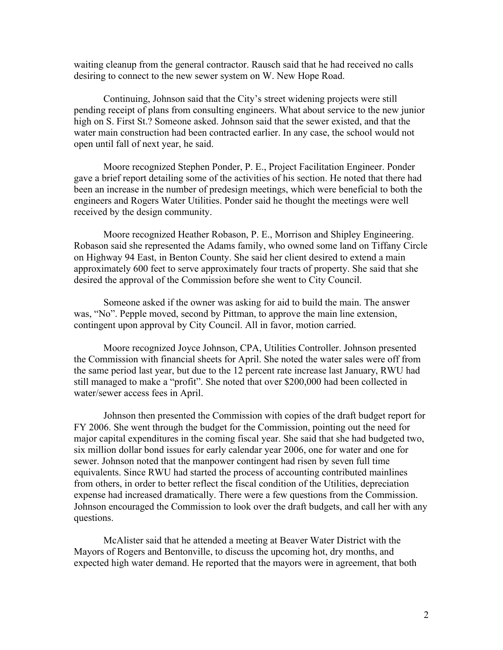waiting cleanup from the general contractor. Rausch said that he had received no calls desiring to connect to the new sewer system on W. New Hope Road.

Continuing, Johnson said that the City's street widening projects were still pending receipt of plans from consulting engineers. What about service to the new junior high on S. First St.? Someone asked. Johnson said that the sewer existed, and that the water main construction had been contracted earlier. In any case, the school would not open until fall of next year, he said.

Moore recognized Stephen Ponder, P. E., Project Facilitation Engineer. Ponder gave a brief report detailing some of the activities of his section. He noted that there had been an increase in the number of predesign meetings, which were beneficial to both the engineers and Rogers Water Utilities. Ponder said he thought the meetings were well received by the design community.

Moore recognized Heather Robason, P. E., Morrison and Shipley Engineering. Robason said she represented the Adams family, who owned some land on Tiffany Circle on Highway 94 East, in Benton County. She said her client desired to extend a main approximately 600 feet to serve approximately four tracts of property. She said that she desired the approval of the Commission before she went to City Council.

Someone asked if the owner was asking for aid to build the main. The answer was, "No". Pepple moved, second by Pittman, to approve the main line extension, contingent upon approval by City Council. All in favor, motion carried.

Moore recognized Joyce Johnson, CPA, Utilities Controller. Johnson presented the Commission with financial sheets for April. She noted the water sales were off from the same period last year, but due to the 12 percent rate increase last January, RWU had still managed to make a "profit". She noted that over \$200,000 had been collected in water/sewer access fees in April.

Johnson then presented the Commission with copies of the draft budget report for FY 2006. She went through the budget for the Commission, pointing out the need for major capital expenditures in the coming fiscal year. She said that she had budgeted two, six million dollar bond issues for early calendar year 2006, one for water and one for sewer. Johnson noted that the manpower contingent had risen by seven full time equivalents. Since RWU had started the process of accounting contributed mainlines from others, in order to better reflect the fiscal condition of the Utilities, depreciation expense had increased dramatically. There were a few questions from the Commission. Johnson encouraged the Commission to look over the draft budgets, and call her with any questions.

McAlister said that he attended a meeting at Beaver Water District with the Mayors of Rogers and Bentonville, to discuss the upcoming hot, dry months, and expected high water demand. He reported that the mayors were in agreement, that both